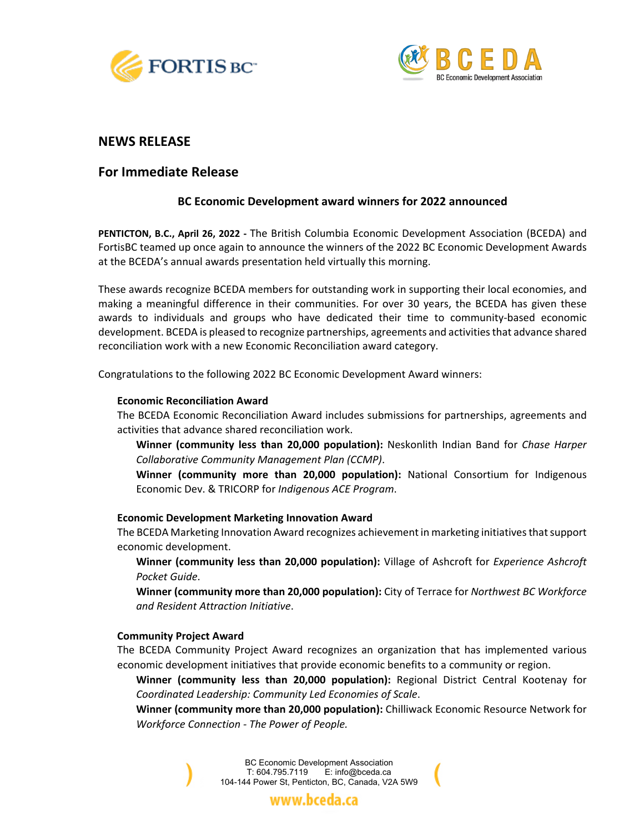



## **NEWS RELEASE**

# **For Immediate Release**

## **BC Economic Development award winners for 2022 announced**

**PENTICTON, B.C., April 26, 2022 -** The British Columbia Economic Development Association (BCEDA) and FortisBC teamed up once again to announce the winners of the 2022 BC Economic Development Awards at the BCEDA's annual awards presentation held virtually this morning.

These awards recognize BCEDA members for outstanding work in supporting their local economies, and making a meaningful difference in their communities. For over 30 years, the BCEDA has given these awards to individuals and groups who have dedicated their time to community-based economic development. BCEDA is pleased to recognize partnerships, agreements and activities that advance shared reconciliation work with a new Economic Reconciliation award category.

Congratulations to the following 2022 BC Economic Development Award winners:

### **Economic Reconciliation Award**

The BCEDA Economic Reconciliation Award includes submissions for partnerships, agreements and activities that advance shared reconciliation work.

**Winner (community less than 20,000 population):** Neskonlith Indian Band for *Chase Harper Collaborative Community Management Plan (CCMP)*.

**Winner (community more than 20,000 population):** National Consortium for Indigenous Economic Dev. & TRICORP for *Indigenous ACE Program*.

### **Economic Development Marketing Innovation Award**

The BCEDA Marketing Innovation Award recognizes achievement in marketing initiativesthat support economic development.

**Winner (community less than 20,000 population):** Village of Ashcroft for *Experience Ashcroft Pocket Guide*.

**Winner (community more than 20,000 population):** City of Terrace for *Northwest BC Workforce and Resident Attraction Initiative*.

### **Community Project Award**

The BCEDA Community Project Award recognizes an organization that has implemented various economic development initiatives that provide economic benefits to a community or region.

**Winner (community less than 20,000 population):** Regional District Central Kootenay for *Coordinated Leadership: Community Led Economies of Scale*.

**Winner (community more than 20,000 population):** Chilliwack Economic Resource Network for *Workforce Connection - The Power of People.*

> BC Economic Development Association T: 604.795.7119 E: info@bceda.ca 104-144 Power St, Penticton, BC, Canada, V2A 5W9

> > www.bceda.ca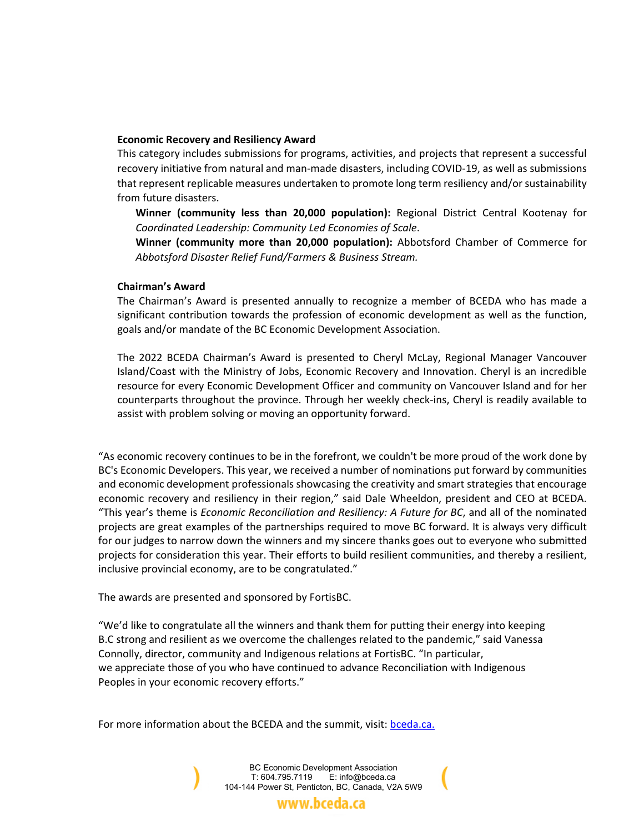#### **Economic Recovery and Resiliency Award**

This category includes submissions for programs, activities, and projects that represent a successful recovery initiative from natural and man-made disasters, including COVID-19, as well as submissions that represent replicable measures undertaken to promote long term resiliency and/or sustainability from future disasters.

**Winner (community less than 20,000 population):** Regional District Central Kootenay for *Coordinated Leadership: Community Led Economies of Scale*.

**Winner (community more than 20,000 population):** Abbotsford Chamber of Commerce for *Abbotsford Disaster Relief Fund/Farmers & Business Stream.*

#### **Chairman's Award**

The Chairman's Award is presented annually to recognize a member of BCEDA who has made a significant contribution towards the profession of economic development as well as the function, goals and/or mandate of the BC Economic Development Association.

The 2022 BCEDA Chairman's Award is presented to Cheryl McLay, Regional Manager Vancouver Island/Coast with the Ministry of Jobs, Economic Recovery and Innovation. Cheryl is an incredible resource for every Economic Development Officer and community on Vancouver Island and for her counterparts throughout the province. Through her weekly check-ins, Cheryl is readily available to assist with problem solving or moving an opportunity forward.

"As [economic](https://www.facebook.com/hashtag/economicrecovery?__eep__=6&__cft__%5b0%5d=AZV2otSWcjmdACXaNjrUt_dhExd78pWTXWVRGVFVbOILDm88eb1lGfcJ4z87rH5XMVknKaEkuW_zP3ZI8TOMKHb49jxL_xr1TYUtawHBGHnxLvCblDsNTHQNLtTmY1ARkjGn5xcwRntZv6tAfkoxb78o9Jv-Y0FL2aJf3n_PqHXemyk9R2WbgjCZulWpJgtYt_k&__tn__=*NK-R) recovery continues to be in the forefront, we couldn't be more proud of the work done by BC's Economic [Developers.](https://www.facebook.com/hashtag/economicdevelopers?__eep__=6&__cft__%5b0%5d=AZV2otSWcjmdACXaNjrUt_dhExd78pWTXWVRGVFVbOILDm88eb1lGfcJ4z87rH5XMVknKaEkuW_zP3ZI8TOMKHb49jxL_xr1TYUtawHBGHnxLvCblDsNTHQNLtTmY1ARkjGn5xcwRntZv6tAfkoxb78o9Jv-Y0FL2aJf3n_PqHXemyk9R2WbgjCZulWpJgtYt_k&__tn__=*NK-R) This year, we received a number of nominations put forward by communities and economic development professionals showcasing the creativity and smart strategies that encourage economic recovery and resiliency in their region," said Dale Wheeldon, president and CEO at BCEDA. "This year's theme is *Economic Reconciliation and Resiliency: A Future for BC*, and all of the nominated projects are great examples of the partnerships required to move BC forward. It is always very difficult for our judges to narrow down the winners and my sincere thanks goes out to everyone who submitted projects for consideration this year. Their efforts to build resilient communities, and thereby a resilient, inclusive provincial economy, are to be congratulated."

The awards are presented and sponsored by FortisBC.

"We'd like to congratulate all the winners and thank them for putting their energy into keeping B.C strong and resilient as we overcome the challenges related to the pandemic," said Vanessa Connolly, director, community and Indigenous relations at FortisBC. "In particular, we appreciate those of you who have continued to advance Reconciliation with Indigenous Peoples in your economic recovery efforts."

For more information about the BCEDA and the summit, visit: **bceda.ca.** 

BC Economic Development Association T: 604.795.7119 E: info@bceda.ca 104-144 Power St, Penticton, BC, Canada, V2A 5W9